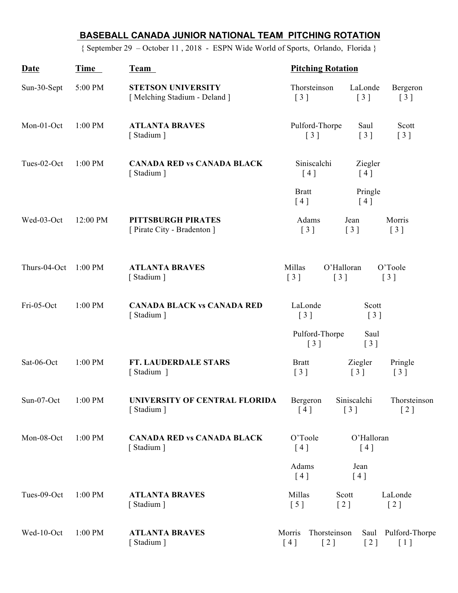## **BASEBALL CANADA JUNIOR NATIONAL TEAM PITCHING ROTATION**

{ September 29 – October 11 , 2018 - ESPN Wide World of Sports, Orlando, Florida }

| Date                         | Time      | Team                                                     | <b>Pitching Rotation</b>                            |                           |                                              |                                                      |
|------------------------------|-----------|----------------------------------------------------------|-----------------------------------------------------|---------------------------|----------------------------------------------|------------------------------------------------------|
| Sun-30-Sept                  | 5:00 PM   | <b>STETSON UNIVERSITY</b><br>[Melching Stadium - Deland] | Thorsteinson<br>$\begin{bmatrix} 3 \end{bmatrix}$   |                           | LaLonde<br>$\begin{bmatrix} 3 \end{bmatrix}$ | Bergeron<br>$\begin{bmatrix} 3 \end{bmatrix}$        |
| Mon-01-Oct                   | 1:00 PM   | <b>ATLANTA BRAVES</b><br>[Stadium]                       | Pulford-Thorpe<br>$\begin{bmatrix} 3 \end{bmatrix}$ |                           | Saul<br>$[3]$                                | Scott<br>$\left[\begin{array}{c}3\end{array}\right]$ |
| Tues-02-Oct                  | 1:00 PM   | <b>CANADA RED vs CANADA BLACK</b><br>[Stadium]           | Siniscalchi<br>[4]                                  |                           | Ziegler<br>[4]                               |                                                      |
|                              |           |                                                          | <b>Bratt</b><br>[4]                                 |                           | Pringle<br>[4]                               |                                                      |
| Wed-03-Oct                   | 12:00 PM  | PITTSBURGH PIRATES<br>[ Pirate City - Bradenton ]        | Adams<br>$\begin{bmatrix} 3 \end{bmatrix}$          | Jean                      | $\lceil 3 \rceil$                            | Morris<br>$\begin{bmatrix} 3 \end{bmatrix}$          |
| Thurs-04-Oct                 | $1:00$ PM | <b>ATLANTA BRAVES</b><br>[Stadium]                       | Millas<br>$\begin{bmatrix} 3 \end{bmatrix}$         | O'Halloran<br>[3]         |                                              | O'Toole<br>[3]                                       |
| Fri-05-Oct                   | 1:00 PM   | <b>CANADA BLACK vs CANADA RED</b><br>[Stadium]           | LaLonde<br>$\begin{bmatrix} 3 \end{bmatrix}$        |                           | Scott<br>$\begin{bmatrix} 3 \end{bmatrix}$   |                                                      |
|                              |           |                                                          | Pulford-Thorpe<br>[3]                               |                           | Saul<br>[3]                                  |                                                      |
| Sat-06-Oct                   | 1:00 PM   | FT. LAUDERDALE STARS<br>[Stadium ]                       | <b>Bratt</b><br>$\begin{bmatrix} 3 \end{bmatrix}$   |                           | Ziegler<br>$\begin{bmatrix} 3 \end{bmatrix}$ | Pringle<br>$\begin{bmatrix} 3 \end{bmatrix}$         |
| Sun-07-Oct $1:00 \text{ PM}$ |           | UNIVERSITY OF CENTRAL FLORIDA<br>[Stadium]               | Bergeron<br>[4]                                     | [3]                       | Siniscalchi                                  | Thorsteinson<br>$\left[2\right]$                     |
| Mon-08-Oct                   | 1:00 PM   | <b>CANADA RED vs CANADA BLACK</b><br>[Stadium]           | O'Toole<br>O'Halloran<br>[4]<br>[4]                 |                           |                                              |                                                      |
|                              |           |                                                          | Adams<br>[4]                                        |                           | Jean<br>[4]                                  |                                                      |
| Tues-09-Oct                  | 1:00 PM   | <b>ATLANTA BRAVES</b><br>[Stadium]                       | Millas<br>[5]                                       | Scott<br>$\left[2\right]$ |                                              | LaLonde<br>$\left[2\right]$                          |
| Wed-10-Oct                   | 1:00 PM   | <b>ATLANTA BRAVES</b><br>Stadium ]                       | Morris<br>[4]                                       | Thorsteinson<br>[2]       | $\left[2\right]$                             | Saul Pulford-Thorpe<br>$\lceil 1 \rceil$             |